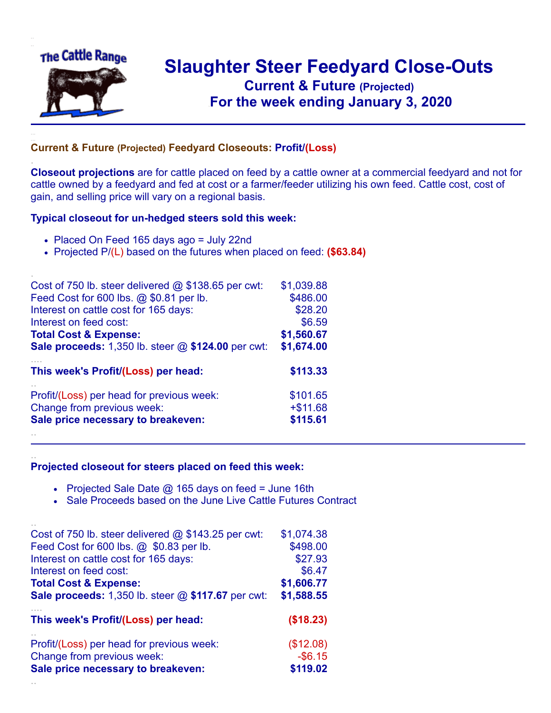

.

..

## **Slaughter Steer Feedyard Close-Outs Current & Future (Projected)** .**For the week ending January 3, 2020**

## **Current & Future (Projected) Feedyard Closeouts: Profit/(Loss)**

**Closeout projections** are for cattle placed on feed by a cattle owner at a commercial feedyard and not for cattle owned by a feedyard and fed at cost or a farmer/feeder utilizing his own feed. Cattle cost, cost of gain, and selling price will vary on a regional basis.

## **Typical closeout for un-hedged steers sold this week:**

- Placed On Feed 165 days ago = July 22nd
- Projected P/(L) based on the futures when placed on feed: **(\$63.84)**

| Cost of 750 lb. steer delivered $@$ \$138.65 per cwt:       | \$1,039.88 |
|-------------------------------------------------------------|------------|
| Feed Cost for 600 lbs. @ \$0.81 per lb.                     | \$486.00   |
| Interest on cattle cost for 165 days:                       | \$28.20    |
| Interest on feed cost:                                      | \$6.59     |
| <b>Total Cost &amp; Expense:</b>                            | \$1,560.67 |
| <b>Sale proceeds:</b> 1,350 lb. steer $@$ \$124.00 per cwt: | \$1,674.00 |
| This week's Profit/(Loss) per head:                         | \$113.33   |
| Profit/(Loss) per head for previous week:                   | \$101.65   |
| Change from previous week:                                  | $+ $11.68$ |
| Sale price necessary to breakeven:                          | \$115.61   |
|                                                             |            |

## **Projected closeout for steers placed on feed this week:**

- Projected Sale Date  $@$  165 days on feed = June 16th
- Sale Proceeds based on the June Live Cattle Futures Contract

| Cost of 750 lb. steer delivered $@$ \$143.25 per cwt:       | \$1,074.38 |
|-------------------------------------------------------------|------------|
| Feed Cost for 600 lbs. @ \$0.83 per lb.                     | \$498.00   |
| Interest on cattle cost for 165 days:                       | \$27.93    |
| Interest on feed cost:                                      | \$6.47     |
| <b>Total Cost &amp; Expense:</b>                            | \$1,606.77 |
| <b>Sale proceeds:</b> 1,350 lb. steer $@$ \$117.67 per cwt: | \$1,588.55 |
| This week's Profit/(Loss) per head:                         | (\$18.23)  |
| Profit/(Loss) per head for previous week:                   | (\$12.08)  |
| Change from previous week:                                  | $-$ \$6.15 |
| Sale price necessary to breakeven:                          | \$119.02   |
|                                                             |            |